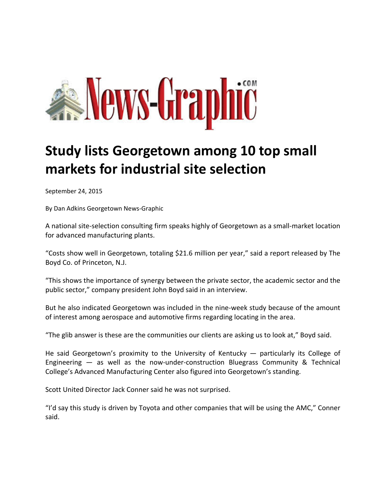

## **Study lists Georgetown among 10 top small markets for industrial site selection**

September 24, 2015

By Dan Adkins Georgetown News‐Graphic

A national site‐selection consulting firm speaks highly of Georgetown as a small‐market location for advanced manufacturing plants.

"Costs show well in Georgetown, totaling \$21.6 million per year," said a report released by The Boyd Co. of Princeton, N.J.

"This shows the importance of synergy between the private sector, the academic sector and the public sector," company president John Boyd said in an interview.

But he also indicated Georgetown was included in the nine‐week study because of the amount of interest among aerospace and automotive firms regarding locating in the area.

"The glib answer is these are the communities our clients are asking us to look at," Boyd said.

He said Georgetown's proximity to the University of Kentucky — particularly its College of Engineering  $-$  as well as the now-under-construction Bluegrass Community & Technical College's Advanced Manufacturing Center also figured into Georgetown's standing.

Scott United Director Jack Conner said he was not surprised.

"I'd say this study is driven by Toyota and other companies that will be using the AMC," Conner said.